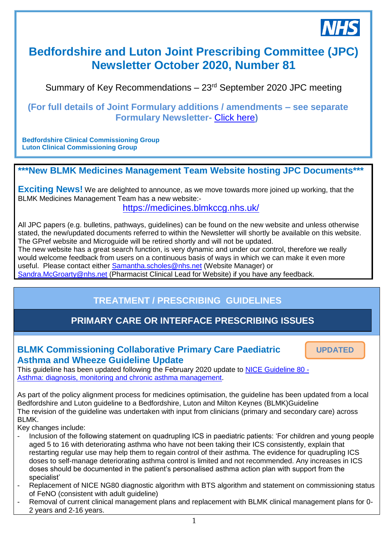

# **Bedfordshire and Luton Joint Prescribing Committee (JPC) Newsletter October 2020, Number 81**

Summary of Key Recommendations – 23rd September 2020 JPC meeting

### **(For full details of Joint Formulary additions / amendments – see separate Formulary Newsletter-** [Click here](https://medicines.blmkccg.nhs.uk/newsletter/formulary-newsletter-october-2020/)**)**

**Bedfordshire Clinical Commissioning Group Luton Clinical Commissioning Group**

## **\*\*\*New BLMK Medicines Management Team Website hosting JPC Documents\*\*\***

**Exciting News!** We are delighted to announce, as we move towards more joined up working, that the BLMK Medicines Management Team has a new website:-

<https://medicines.blmkccg.nhs.uk/>

All JPC papers (e.g. bulletins, pathways, guidelines) can be found on the new website and unless otherwise stated, the new/updated documents referred to within the Newsletter will shortly be available on this website. The GPref website and Microguide will be retired shortly and will not be updated. *28th November 2018*

The new website has a great search function, is very dynamic and under our control, therefore we really would welcome feedback from users on a continuous basis of ways in which we can make it even more useful. Please contact either [Samantha.scholes@nhs.net](mailto:Samantha.scholes@nhs.net) (Website Manager) or

[Sandra.McGroarty@nhs.net](mailto:Sandra.McGroarty@nhs.net) (Pharmacist Clinical Lead for Website) if you have any feedback.

## **TREATMENT / PRESCRIBING GUIDELINES**

## **PRIMARY CARE OR INTERFACE PRESCRIBING ISSUES**

## **BLMK Commissioning Collaborative Primary Care Paediatric Asthma and Wheeze Guideline Update**

**UPDATED**

This guideline has been updated following the February 2020 update to [NICE Guideline](https://www.nice.org.uk/guidance/ng80) 80 - [Asthma: diagnosis, monitoring and chronic asthma management.](https://www.nice.org.uk/guidance/ng80)

As part of the policy alignment process for medicines optimisation, the guideline has been updated from a local Bedfordshire and Luton guideline to a Bedfordshire, Luton and Milton Keynes (BLMK)Guideline The revision of the guideline was undertaken with input from clinicians (primary and secondary care) across BLMK.

Key changes include:

- Inclusion of the following statement on quadrupling ICS in paediatric patients: 'For children and young people aged 5 to 16 with deteriorating asthma who have not been taking their ICS consistently, explain that restarting regular use may help them to regain control of their asthma. The evidence for quadrupling ICS doses to self-manage deteriorating asthma control is limited and not recommended. Any increases in ICS doses should be documented in the patient's personalised asthma action plan with support from the specialist'
- Replacement of NICE NG80 diagnostic algorithm with BTS algorithm and statement on commissioning status of FeNO (consistent with adult guideline)
- Removal of current clinical management plans and replacement with BLMK clinical management plans for 0-2 years and 2-16 years.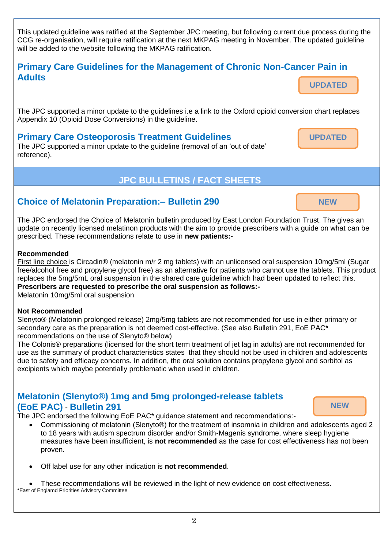This updated guideline was ratified at the September JPC meeting, but following current due process during the CCG re-organisation, will require ratification at the next MKPAG meeting in November. The updated guideline will be added to the website following the MKPAG ratification.

### **Primary Care Guidelines for the Management of Chronic Non-Cancer Pain in Adults UPDATED**

The JPC supported a minor update to the guidelines i.e a link to the Oxford opioid conversion chart replaces Appendix 10 (Opioid Dose Conversions) in the guideline.

### **Primary Care Osteoporosis Treatment Guidelines**

The JPC supported a minor update to the guideline (removal of an 'out of date' reference).

## **JPC BULLETINS / FACT SHEETS**

## **Choice of Melatonin Preparation:– Bulletin 290**

The JPC endorsed the Choice of Melatonin bulletin produced by East London Foundation Trust. The gives an update on recently licensed melatinon products with the aim to provide prescribers with a guide on what can be prescribed. These recommendations relate to use in **new patients:-**

#### **Recommended**

First line choice is Circadin® (melatonin m/r 2 mg tablets) with an unlicensed oral suspension 10mg/5ml (Sugar free/alcohol free and propylene glycol free) as an alternative for patients who cannot use the tablets. This product replaces the 5mg/5mL oral suspension in the shared care guideline which had been updated to reflect this. **Prescribers are requested to prescribe the oral suspension as follows:-**

Melatonin 10mg/5ml oral suspension

#### **Not Recommended**

Slenyto® (Melatonin prolonged release) 2mg/5mg tablets are not recommended for use in either primary or secondary care as the preparation is not deemed cost-effective. (See also Bulletin 291, EoE PAC<sup>\*</sup> recommendations on the use of Slenyto® below)

The Colonis® preparations (licensed for the short term treatment of jet lag in adults) are not recommended for use as the summary of product characteristics states that they should not be used in children and adolescents due to safety and efficacy concerns. In addition, the oral solution contains propylene glycol and sorbitol as excipients which maybe potentially problematic when used in children.

## **Melatonin (Slenyto®) 1mg and 5mg prolonged-release tablets (EoE PAC)** - **Bulletin 291**

The JPC endorsed the following EoE PAC\* guidance statement and recommendations:-

- Commissioning of melatonin (Slenyto®) for the treatment of insomnia in children and adolescents aged 2 to 18 years with autism spectrum disorder and/or Smith-Magenis syndrome, where sleep hygiene measures have been insufficient, is **not recommended** as the case for cost effectiveness has not been proven.
- Off label use for any other indication is **not recommended**.

 These recommendations will be reviewed in the light of new evidence on cost effectiveness. \*East of Englamd Priorities Advisory Committee



**NEW**



**UPDATED**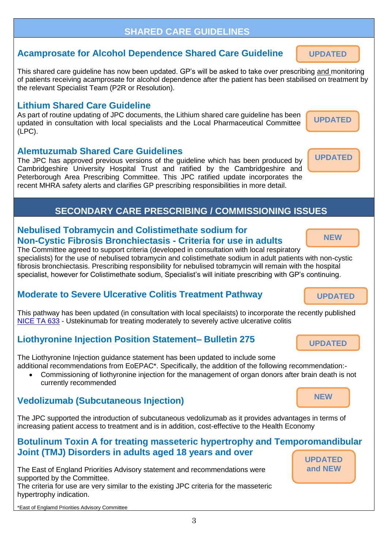### **SHARED CARE GUIDELINES**

### **Acamprosate for Alcohol Dependence Shared Care Guideline**

This shared care guideline has now been updated. GP's will be asked to take over prescribing and monitoring of patients receiving acamprosate for alcohol dependence after the patient has been stabilised on treatment by the relevant Specialist Team (P2R or Resolution).

### **Lithium Shared Care Guideline**

As part of routine updating of JPC documents, the Lithium shared care guideline has been updated in consultation with local specialists and the Local Pharmaceutical Committee (LPC).

## **Alemtuzumab Shared Care Guidelines**

The JPC has approved previous versions of the guideline which has been produced by Cambridgeshire University Hospital Trust and ratified by the Cambridgeshire and Peterborough Area Prescribing Committee. This JPC ratified update incorporates the recent MHRA safety alerts and clarifies GP prescribing responsibilities in more detail.

## **SECONDARY CARE PRESCRIBING / COMMISSIONING ISSUES**

## **Nebulised Tobramycin and Colistimethate sodium for Non-Cystic Fibrosis Bronchiectasis - Criteria for use in adults**

The Committee agreed to support criteria (developed in consultation with local respiratory specialists) for the use of nebulised tobramycin and colistimethate sodium in adult patients with non-cystic fibrosis bronchiectasis. Prescribing responsibility for nebulised tobramycin will remain with the hospital specialist, however for Colistimethate sodium, Specialist's will initiate prescribing with GP's continuing.

## **Moderate to Severe Ulcerative Colitis Treatment Pathway**

This pathway has been updated (in consultation with local specilaists) to incorporate the recently published [NICE TA 633](https://www.nice.org.uk/guidance/TA633) - Ustekinumab for treating moderately to severely active ulcerative colitis

## **Liothyronine Injection Position Statement– Bulletin 275**

The Liothyronine Injection guidance statement has been updated to include some additional recommendations from EoEPAC\*. Specifically, the addition of the following recommendation:-

 Commissioning of liothyronine injection for the management of organ donors after brain death is not currently recommended

## **Vedolizumab (Subcutaneous Injection)**

The JPC supported the introduction of subcutaneous vedolizumab as it provides advantages in terms of increasing patient access to treatment and is in addition, cost-effective to the Health Economy

## **Botulinum Toxin A for treating masseteric hypertrophy and Temporomandibular Joint (TMJ) Disorders in adults aged 18 years and over**

3

The East of England Priorities Advisory statement and recommendations were supported by the Committee. The criteria for use are very similar to the existing JPC criteria for the masseteric hypertrophy indication.

**UPDATED and NEW**

**NEW**

**NEW**

**UPDATED**

**UPDATED**

**UPDATED**

**UPDATED**

**UPDATED**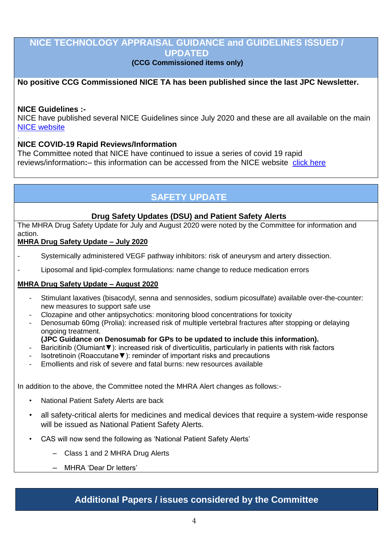### **NICE TECHNOLOGY APPRAISAL GUIDANCE and GUIDELINES ISSUED / UPDATED**

### **(CCG Commissioned items only)**

### **No positive CCG Commissioned NICE TA has been published since the last JPC Newsletter.**

#### **NICE Guidelines :-**

.

NICE have published several NICE Guidelines since July 2020 and these are all available on the main [NICE website](https://www.nice.org.uk/)

### **NICE COVID-19 Rapid Reviews/Information**

The Committee noted that NICE have continued to issue a series of covid 19 rapid reviews/information**:**– this information can be accessed from the NICE website [click here](https://www.nice.org.uk/covid-19)

## **SAFETY UPDATE**

### **Drug Safety Updates (DSU) and Patient Safety Alerts**

The MHRA Drug Safety Update for July and August 2020 were noted by the Committee for information and action.

### **[MHRA Drug Safety Update –](https://assets.publishing.service.gov.uk/government/uploads/system/uploads/attachment_data/file/905690/July-2020-DSU-PDF.pdf) July 2020**

- Systemically administered VEGF pathway inhibitors: risk of aneurysm and artery dissection.
	- Liposomal and lipid-complex formulations: name change to reduce medication errors

#### **[MHRA Drug Safety Update –](https://assets.publishing.service.gov.uk/government/uploads/system/uploads/attachment_data/file/912231/Aug-2020-DSU-PDF.pdf) August 2020**

- Stimulant laxatives (bisacodyl, senna and sennosides, sodium picosulfate) available over-the-counter: new measures to support safe use
- Clozapine and other antipsychotics: monitoring blood concentrations for toxicity
- Denosumab 60mg (Prolia): increased risk of multiple vertebral fractures after stopping or delaying ongoing treatment.

#### **(JPC Guidance on Denosumab for GPs to be updated to include this information).**

- Baricitinib (Olumiant▼): increased risk of diverticulitis, particularly in patients with risk factors
- Isotretinoin (Roaccutane▼): reminder of important risks and precautions
- Emollients and risk of severe and fatal burns: new resources available

In addition to the above, the Committee noted the MHRA Alert changes as follows:-

- National Patient Safety Alerts are back
- all safety-critical alerts for medicines and medical devices that require a system-wide response will be issued as National Patient Safety Alerts.
- CAS will now send the following as 'National Patient Safety Alerts'
	- Class 1 and 2 MHRA Drug Alerts
	- MHRA 'Dear Dr letters'

## **Additional Papers / issues considered by the Committee**